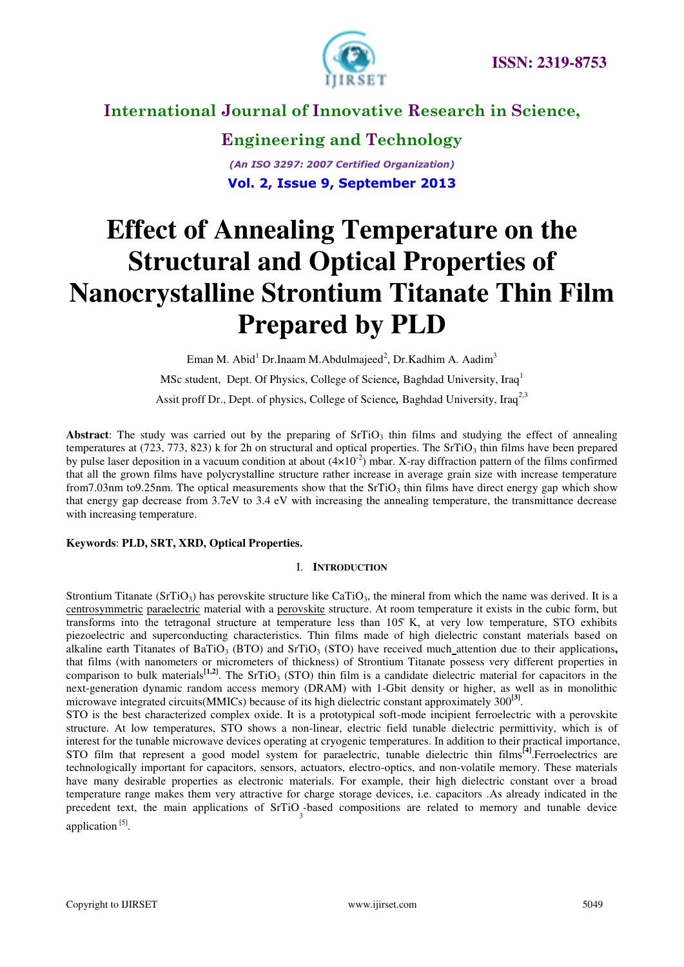

**Engineering and Technology** *(An ISO 3297: 2007 Certified Organization)*  **Vol. 2, Issue 9, September 2013**

# **Effect of Annealing Temperature on the Structural and Optical Properties of Nanocrystalline Strontium Titanate Thin Film Prepared by PLD**

Eman M. Abid<sup>1</sup> Dr.Inaam M.Abdulmajeed<sup>2</sup>, Dr.Kadhim A. Aadim<sup>3</sup> MSc student, Dept. Of Physics, College of Science*,* Baghdad University, Iraq<sup>1</sup> Assit proff Dr., Dept. of physics, College of Science, Baghdad University, Iraq<sup>2,3</sup>

**Abstract:** The study was carried out by the preparing of  $SriO<sub>3</sub>$  thin films and studying the effect of annealing temperatures at (723, 773, 823) k for 2h on structural and optical properties. The SrTiO<sub>3</sub> thin films have been prepared by pulse laser deposition in a vacuum condition at about  $(4\times10^{-2})$  mbar. X-ray diffraction pattern of the films confirmed that all the grown films have polycrystalline structure rather increase in average grain size with increase temperature from7.03nm to9.25nm. The optical measurements show that the  $SrTiO<sub>3</sub>$  thin films have direct energy gap which show that energy gap decrease from 3.7eV to 3.4 eV with increasing the annealing temperature, the transmittance decrease with increasing temperature.

### **Keywords**: **PLD, SRT, XRD, Optical Properties.**

### I. **INTRODUCTION**

Strontium Titanate (SrTiO<sub>3</sub>) has perovskite structure like CaTiO<sub>3</sub>, the mineral from which the name was derived. It is a [centrosymmetric](http://en.wikipedia.org/wiki/Centrosymmetric) [paraelectric](http://en.wikipedia.org/wiki/Paraelectricity) material with a [perovskite](http://en.wikipedia.org/wiki/Perovskite_%28structure%29) structure. At room temperature it exists in the cubic form, but transforms into the tetragonal structure at temperature less than 105 K, at very low temperature, STO exhibits piezoelectric and superconducting characteristics. Thin films made of high dielectric constant materials based on alkaline earth Titanates of BaTiO<sub>3</sub> (BTO) and SrTiO<sub>3</sub> (STO) have received much attention due to their applications, that films (with nanometers or micrometers of thickness) of Strontium Titanate possess very different properties in comparison to bulk materials<sup>[1,2]</sup>. The SrTiO<sub>3</sub> (STO) thin film is a candidate dielectric material for capacitors in the next-generation dynamic random access memory (DRAM) with 1-Gbit density or higher, as well as in monolithic microwave integrated circuits(MMICs) because of its high dielectric constant approximately 300**[3]** .

STO is the best characterized complex oxide. It is a prototypical soft-mode incipient ferroelectric with a perovskite structure. At low temperatures, STO shows a non-linear, electric field tunable dielectric permittivity, which is of interest for the tunable microwave devices operating at cryogenic temperatures. In addition to their practical importance, STO film that represent a good model system for paraelectric, tunable dielectric thin films**[4]**.Ferroelectrics are technologically important for capacitors, sensors, actuators, electro-optics, and non-volatile memory. These materials have many desirable properties as electronic materials. For example, their high dielectric constant over a broad temperature range makes them very attractive for charge storage devices, i.e. capacitors .As already indicated in the precedent text, the main applications of  $SrTiO$ , based compositions are related to memory and tunable device application<sup>[5]</sup>.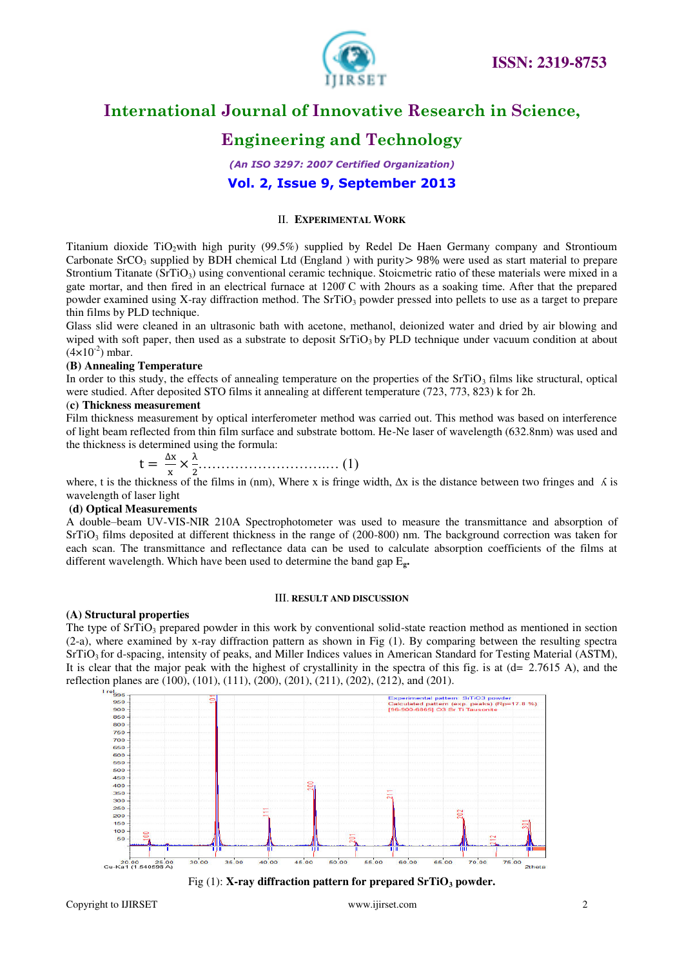

# **Engineering and Technology**

*(An ISO 3297: 2007 Certified Organization)*  **Vol. 2, Issue 9, September 2013**

### II. **EXPERIMENTAL WORK**

Titanium dioxide TiO<sub>2</sub>with high purity (99.5%) supplied by Redel De Haen Germany company and Strontioum Carbonate SrCO<sub>3</sub> supplied by BDH chemical Ltd (England ) with purity > 98% were used as start material to prepare Strontium Titanate  $(SrTiO<sub>3</sub>)$  using conventional ceramic technique. Stoicmetric ratio of these materials were mixed in a gate mortar, and then fired in an electrical furnace at 1200 C with 2 hours as a soaking time. After that the prepared powder examined using X-ray diffraction method. The  $SrTiO<sub>3</sub>$  powder pressed into pellets to use as a target to prepare thin films by PLD technique.

Glass slid were cleaned in an ultrasonic bath with acetone, methanol, deionized water and dried by air blowing and wiped with soft paper, then used as a substrate to deposit  $SrTiO<sub>3</sub>$  by PLD technique under vacuum condition at about  $(4 \times 10^{-2})$  mbar.

### **(B) Annealing Temperature**

In order to this study, the effects of annealing temperature on the properties of the  $SrTiO<sub>3</sub>$  films like structural, optical were studied. After deposited STO films it annealing at different temperature (723, 773, 823) k for 2h.

### (**c) Thickness measurement**

Film thickness measurement by optical interferometer method was carried out. This method was based on interference of light beam reflected from thin film surface and substrate bottom. He-Ne laser of wavelength (632.8nm) was used and the thickness is determined using the formula:

$$
t = \frac{\Delta x}{x} \times \frac{\lambda}{2} \tag{1}
$$

 ……………………… … ( ) where, t is the thickness of the films in (nm), Where x Δ is the distance between two fringes and ʎ is wavelength of laser light

### **(d) Optical Measurements**

A double–beam UV-VIS-NIR 210A Spectrophotometer was used to measure the transmittance and absorption of  $SrTiO<sub>3</sub>$  films deposited at different thickness in the range of (200-800) nm. The background correction was taken for each scan. The transmittance and reflectance data can be used to calculate absorption coefficients of the films at different wavelength. Which have been used to determine the band gap E**g.** 

### III. **RESULT AND DISCUSSION**

### **(A) Structural properties**

The type of  $SrTiO<sub>3</sub>$  prepared powder in this work by conventional solid-state reaction method as mentioned in section (2-a), where examined by x-ray diffraction pattern as shown in Fig (1). By comparing between the resulting spectra  $SrTiO<sub>3</sub>$  for d-spacing, intensity of peaks, and Miller Indices values in American Standard for Testing Material (ASTM), It is clear that the major peak with the highest of crystallinity in the spectra of this fig. is at (d= 2.7615 A), and the reflection planes are (100), (101), (111), (200), (201), (211), (202), (212), and (201).



Fig (1): **X-ray diffraction pattern for prepared SrTiO3 powder.**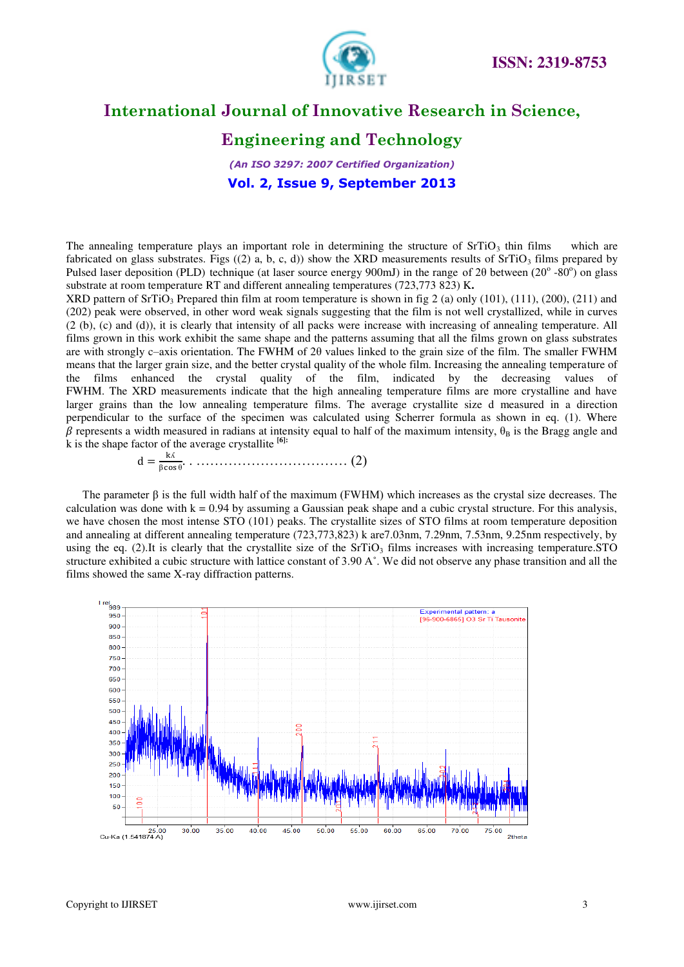



# **Engineering and Technology**

*(An ISO 3297: 2007 Certified Organization)*  **Vol. 2, Issue 9, September 2013**

The annealing temperature plays an important role in determining the structure of  $SrTiO<sub>3</sub>$  thin films which are fabricated on glass substrates. Figs ((2) a, b, c, d)) show the XRD measurements results of  $SrTiO<sub>3</sub>$  films prepared by Pulsed laser deposition (PLD) technique (at laser source energy 900mJ) in the range of 20 between  $(20^{\circ} - 80^{\circ})$  on glass substrate at room temperature RT and different annealing temperatures (723,773 823) K**.**

XRD pattern of SrTiO<sub>3</sub> Prepared thin film at room temperature is shown in fig 2 (a) only (101), (111), (200), (211) and (202) peak were observed, in other word weak signals suggesting that the film is not well crystallized, while in curves (2 (b), (c) and (d)), it is clearly that intensity of all packs were increase with increasing of annealing temperature. All films grown in this work exhibit the same shape and the patterns assuming that all the films grown on glass substrates are with strongly c–axis orientation. The FWHM of 2θ values linked to the grain size of the film. The smaller FWHM means that the larger grain size, and the better crystal quality of the whole film. Increasing the annealing temperature of the films enhanced the crystal quality of the film, indicated by the decreasing values of FWHM. The XRD measurements indicate that the high annealing temperature films are more crystalline and have larger grains than the low annealing temperature films. The average crystallite size d measured in a direction perpendicular to the surface of the specimen was calculated using Scherrer formula as shown in eq. (1). Where  $\beta$  represents a width measured in radians at intensity equal to half of the maximum intensity,  $\theta_B$  is the Bragg angle and k is the shape factor of the average crystallite **[6]:**

 <sup>ʎ</sup> θ …………………………… ( )

The parameter  $\beta$  is the full width half of the maximum (FWHM) which increases as the crystal size decreases. The calculation was done with  $k = 0.94$  by assuming a Gaussian peak shape and a cubic crystal structure. For this analysis, we have chosen the most intense STO (101) peaks. The crystallite sizes of STO films at room temperature deposition and annealing at different annealing temperature (723,773,823) k are7.03nm, 7.29nm, 7.53nm, 9.25nm respectively, by using the eq. (2).It is clearly that the crystallite size of the  $S<sub>TiO<sub>3</sub></sub>$  films increases with increasing temperature.STO structure exhibited a cubic structure with lattice constant of 3.90  $A^{\circ}$ . We did not observe any phase transition and all the films showed the same X-ray diffraction patterns.

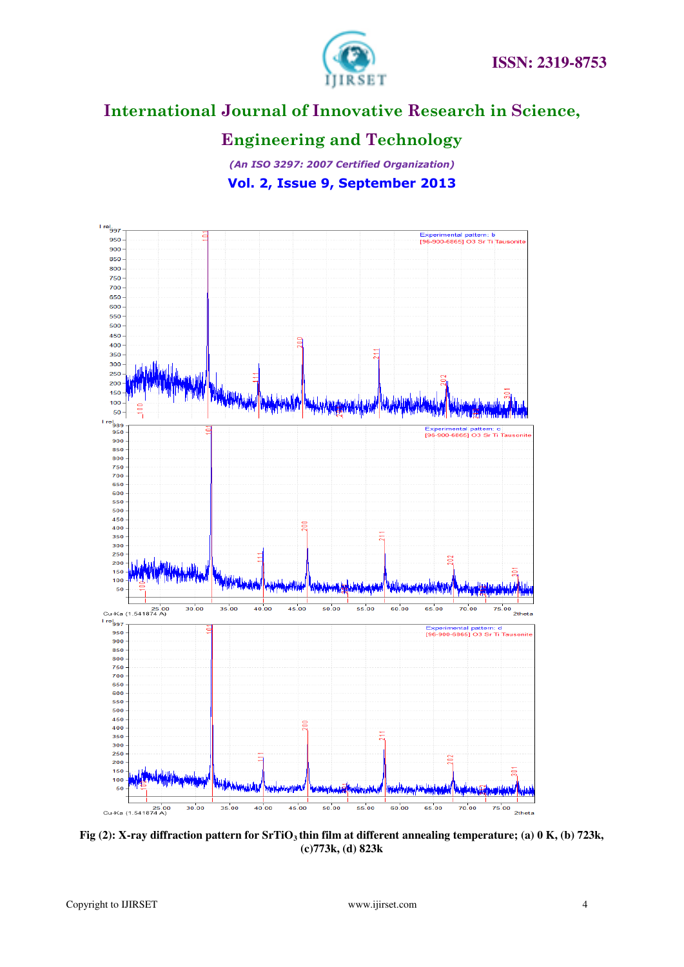

# **Engineering and Technology**

*(An ISO 3297: 2007 Certified Organization)*  **Vol. 2, Issue 9, September 2013**



**Fig (2): X-ray diffraction pattern for SrTiO3 thin film at different annealing temperature; (a) 0 K, (b) 723k, (c)773k, (d) 823k**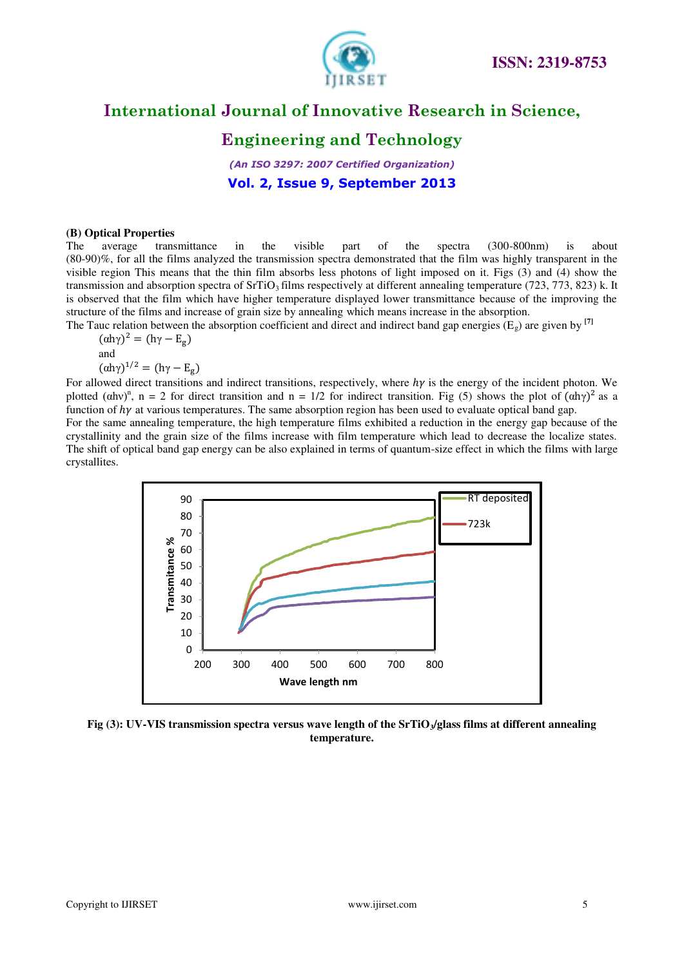

# **Engineering and Technology**

*(An ISO 3297: 2007 Certified Organization)*  **Vol. 2, Issue 9, September 2013**

### **(B) Optical Properties**

The average transmittance in the visible part of the spectra (300-800nm) is about (80-90)%, for all the films analyzed the transmission spectra demonstrated that the film was highly transparent in the visible region This means that the thin film absorbs less photons of light imposed on it. Figs (3) and (4) show the transmission and absorption spectra of SrTiO<sub>3</sub> films respectively at different annealing temperature (723, 773, 823) k. It is observed that the film which have higher temperature displayed lower transmittance because of the improving the structure of the films and increase of grain size by annealing which means increase in the absorption.

The Tauc relation between the absorption coefficient and direct and indirect band gap energies  $(E_{\varphi})$  are given by  $^{[7]}$ 

 $(\alpha h\gamma)^2 = (h\gamma - E_g)$ and  $(\alpha h\gamma)^{1/2} = (h\gamma - E_g)$ 

For allowed direct transitions and indirect transitions, respectively, where  $h\gamma$  is the energy of the incident photon. We plotted ( $(\alpha h v)^n$ , n = 2 for direct transition and n = 1/2 for indirect transition. Fig (5) shows the plot of  $(\alpha h \gamma)^2$  as a function of  $h\gamma$  at various temperatures. The same absorption region has been used to evaluate optical band gap.

For the same annealing temperature, the high temperature films exhibited a reduction in the energy gap because of the crystallinity and the grain size of the films increase with film temperature which lead to decrease the localize states. The shift of optical band gap energy can be also explained in terms of quantum-size effect in which the films with large crystallites.



**Fig (3): UV-VIS transmission spectra versus wave length of the SrTiO3/glass films at different annealing temperature.**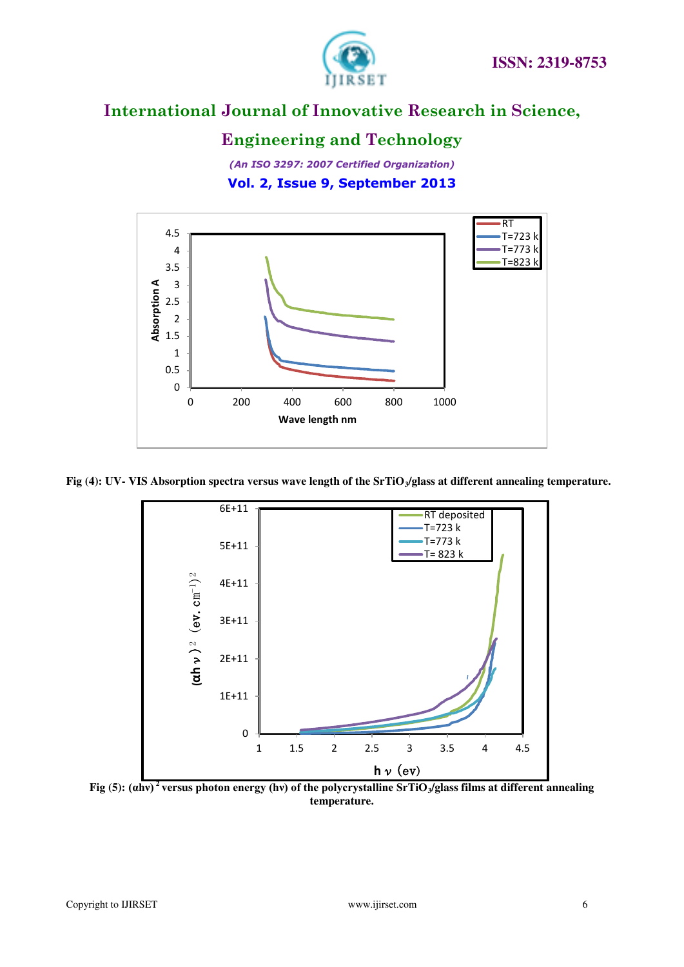

# **Engineering and Technology**

*(An ISO 3297: 2007 Certified Organization)*  **Vol. 2, Issue 9, September 2013**



Fig (4): UV- VIS Absorption spectra versus wave length of the SrTiO<sub>3</sub>/glass at different annealing temperature.



**Fig** (5): (ahv)<sup>2</sup> versus photon energy (hv) of the polycrystalline SrTiO<sub>3</sub>/glass films at different annealing **Property temperature.**